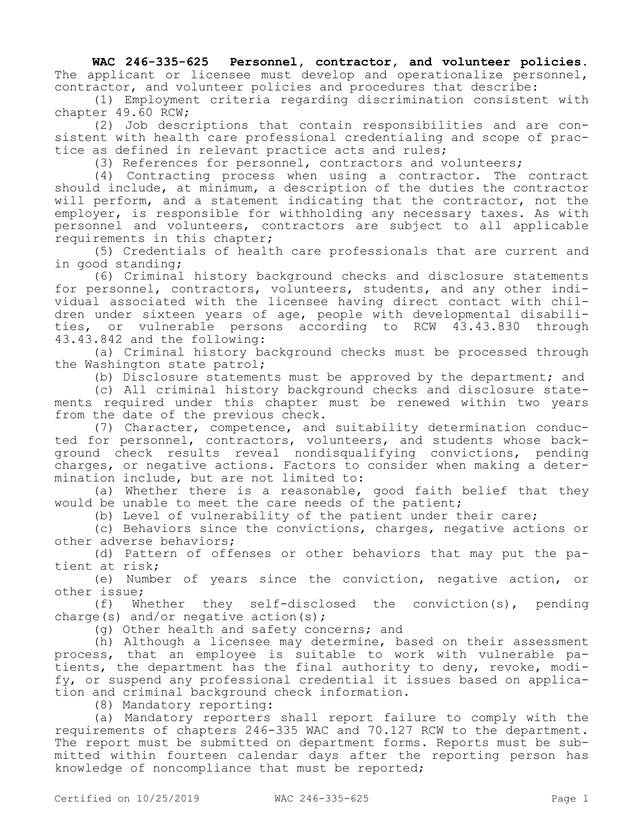**WAC 246-335-625 Personnel, contractor, and volunteer policies.**  The applicant or licensee must develop and operationalize personnel, contractor, and volunteer policies and procedures that describe:

(1) Employment criteria regarding discrimination consistent with chapter 49.60 RCW;

(2) Job descriptions that contain responsibilities and are consistent with health care professional credentialing and scope of practice as defined in relevant practice acts and rules;

(3) References for personnel, contractors and volunteers;

(4) Contracting process when using a contractor. The contract should include, at minimum, a description of the duties the contractor will perform, and a statement indicating that the contractor, not the employer, is responsible for withholding any necessary taxes. As with personnel and volunteers, contractors are subject to all applicable requirements in this chapter;

(5) Credentials of health care professionals that are current and in good standing;

(6) Criminal history background checks and disclosure statements for personnel, contractors, volunteers, students, and any other individual associated with the licensee having direct contact with children under sixteen years of age, people with developmental disabilities, or vulnerable persons according to RCW 43.43.830 through 43.43.842 and the following:

(a) Criminal history background checks must be processed through the Washington state patrol;

(b) Disclosure statements must be approved by the department; and

(c) All criminal history background checks and disclosure statements required under this chapter must be renewed within two years from the date of the previous check.

(7) Character, competence, and suitability determination conducted for personnel, contractors, volunteers, and students whose background check results reveal nondisqualifying convictions, pending charges, or negative actions. Factors to consider when making a determination include, but are not limited to:

(a) Whether there is a reasonable, good faith belief that they would be unable to meet the care needs of the patient;

(b) Level of vulnerability of the patient under their care;

(c) Behaviors since the convictions, charges, negative actions or other adverse behaviors;

(d) Pattern of offenses or other behaviors that may put the patient at risk;

(e) Number of years since the conviction, negative action, or other issue;

(f) Whether they self-disclosed the conviction(s), pending charge(s) and/or negative action(s);

(g) Other health and safety concerns; and

(h) Although a licensee may determine, based on their assessment process, that an employee is suitable to work with vulnerable patients, the department has the final authority to deny, revoke, modify, or suspend any professional credential it issues based on application and criminal background check information.

(8) Mandatory reporting:

(a) Mandatory reporters shall report failure to comply with the requirements of chapters 246-335 WAC and 70.127 RCW to the department. The report must be submitted on department forms. Reports must be submitted within fourteen calendar days after the reporting person has knowledge of noncompliance that must be reported;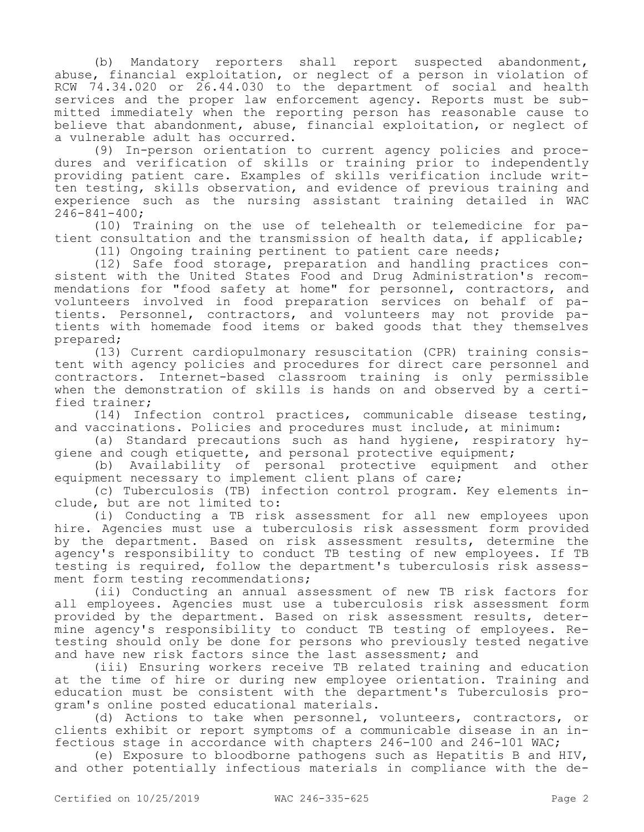(b) Mandatory reporters shall report suspected abandonment, abuse, financial exploitation, or neglect of a person in violation of RCW 74.34.020 or 26.44.030 to the department of social and health services and the proper law enforcement agency. Reports must be submitted immediately when the reporting person has reasonable cause to believe that abandonment, abuse, financial exploitation, or neglect of a vulnerable adult has occurred.

(9) In-person orientation to current agency policies and procedures and verification of skills or training prior to independently providing patient care. Examples of skills verification include written testing, skills observation, and evidence of previous training and experience such as the nursing assistant training detailed in WAC 246-841-400;

(10) Training on the use of telehealth or telemedicine for patient consultation and the transmission of health data, if applicable;

(11) Ongoing training pertinent to patient care needs;

(12) Safe food storage, preparation and handling practices consistent with the United States Food and Drug Administration's recommendations for "food safety at home" for personnel, contractors, and volunteers involved in food preparation services on behalf of patients. Personnel, contractors, and volunteers may not provide patients with homemade food items or baked goods that they themselves prepared;

(13) Current cardiopulmonary resuscitation (CPR) training consistent with agency policies and procedures for direct care personnel and contractors. Internet-based classroom training is only permissible when the demonstration of skills is hands on and observed by a certified trainer;

(14) Infection control practices, communicable disease testing, and vaccinations. Policies and procedures must include, at minimum:

(a) Standard precautions such as hand hygiene, respiratory hygiene and cough etiquette, and personal protective equipment;

(b) Availability of personal protective equipment and other equipment necessary to implement client plans of care;

(c) Tuberculosis (TB) infection control program. Key elements include, but are not limited to:

(i) Conducting a TB risk assessment for all new employees upon hire. Agencies must use a tuberculosis risk assessment form provided by the department. Based on risk assessment results, determine the agency's responsibility to conduct TB testing of new employees. If TB testing is required, follow the department's tuberculosis risk assessment form testing recommendations;

(ii) Conducting an annual assessment of new TB risk factors for all employees. Agencies must use a tuberculosis risk assessment form provided by the department. Based on risk assessment results, determine agency's responsibility to conduct TB testing of employees. Retesting should only be done for persons who previously tested negative and have new risk factors since the last assessment; and

(iii) Ensuring workers receive TB related training and education at the time of hire or during new employee orientation. Training and education must be consistent with the department's Tuberculosis program's online posted educational materials.

(d) Actions to take when personnel, volunteers, contractors, or clients exhibit or report symptoms of a communicable disease in an infectious stage in accordance with chapters 246-100 and 246-101 WAC;

(e) Exposure to bloodborne pathogens such as Hepatitis B and HIV, and other potentially infectious materials in compliance with the de